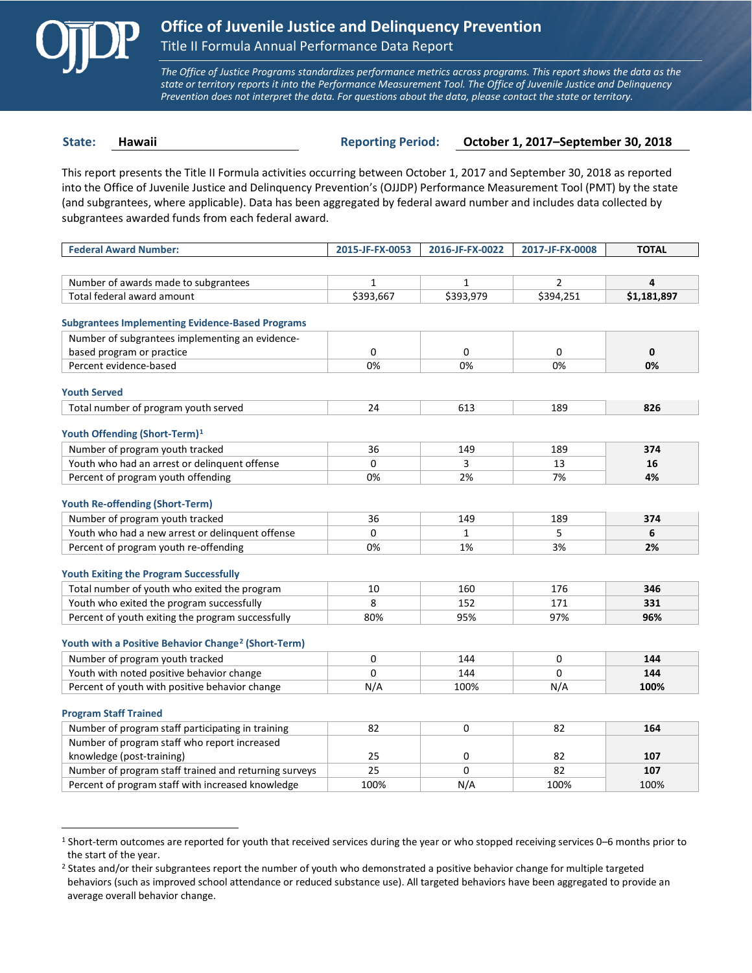

 $\overline{a}$ 

*The Office of Justice Programs standardizes performance metrics across programs. This report shows the data as the state or territory reports it into the Performance Measurement Tool. The Office of Juvenile Justice and Delinquency Prevention does not interpret the data. For questions about the data, please contact the state or territory.*

**State: Hawaii Reporting Period: October 1, 2017–September 30, 2018**

This report presents the Title II Formula activities occurring between October 1, 2017 and September 30, 2018 as reported into the Office of Juvenile Justice and Delinquency Prevention's (OJJDP) Performance Measurement Tool (PMT) by the state (and subgrantees, where applicable). Data has been aggregated by federal award number and includes data collected by subgrantees awarded funds from each federal award.

| <b>Federal Award Number:</b>                                    | 2015-JF-FX-0053 | 2016-JF-FX-0022 | 2017-JF-FX-0008 | <b>TOTAL</b> |
|-----------------------------------------------------------------|-----------------|-----------------|-----------------|--------------|
|                                                                 |                 |                 |                 |              |
| Number of awards made to subgrantees                            | $\mathbf{1}$    | $\mathbf{1}$    | $\overline{2}$  | 4            |
| Total federal award amount                                      | \$393,667       | \$393,979       | \$394,251       | \$1,181,897  |
|                                                                 |                 |                 |                 |              |
| <b>Subgrantees Implementing Evidence-Based Programs</b>         |                 |                 |                 |              |
| Number of subgrantees implementing an evidence-                 |                 |                 |                 |              |
| based program or practice                                       | 0               | 0               | 0               | $\mathbf 0$  |
| Percent evidence-based                                          | 0%              | 0%              | 0%              | 0%           |
| <b>Youth Served</b>                                             |                 |                 |                 |              |
| Total number of program youth served                            | 24              | 613             | 189             | 826          |
|                                                                 |                 |                 |                 |              |
| Youth Offending (Short-Term) <sup>1</sup>                       |                 |                 |                 |              |
| Number of program youth tracked                                 | 36              | 149             | 189             | 374          |
| Youth who had an arrest or delinquent offense                   | $\Omega$        | 3               | 13              | 16           |
| Percent of program youth offending                              | 0%              | 2%              | 7%              | 4%           |
|                                                                 |                 |                 |                 |              |
| <b>Youth Re-offending (Short-Term)</b>                          |                 |                 |                 |              |
| Number of program youth tracked                                 | 36              | 149             | 189             | 374          |
| Youth who had a new arrest or delinguent offense                | $\Omega$        | $\mathbf{1}$    | 5               | 6            |
| Percent of program youth re-offending                           | 0%              | 1%              | 3%              | 2%           |
| <b>Youth Exiting the Program Successfully</b>                   |                 |                 |                 |              |
| Total number of youth who exited the program                    | 10              | 160             | 176             | 346          |
| Youth who exited the program successfully                       | 8               | 152             | 171             | 331          |
| Percent of youth exiting the program successfully               | 80%             | 95%             | 97%             | 96%          |
|                                                                 |                 |                 |                 |              |
| Youth with a Positive Behavior Change <sup>2</sup> (Short-Term) |                 |                 |                 |              |
| Number of program youth tracked                                 | 0               | 144             | 0               | 144          |
| Youth with noted positive behavior change                       | $\Omega$        | 144             | $\Omega$        | 144          |
| Percent of youth with positive behavior change                  | N/A             | 100%            | N/A             | 100%         |
|                                                                 |                 |                 |                 |              |
| <b>Program Staff Trained</b>                                    |                 |                 |                 |              |
| Number of program staff participating in training               | 82              | 0               | 82              | 164          |
| Number of program staff who report increased                    |                 |                 |                 |              |
| knowledge (post-training)                                       | 25              | 0               | 82              | 107          |
| Number of program staff trained and returning surveys           | 25              | 0               | 82              | 107          |
| Percent of program staff with increased knowledge               | 100%            | N/A             | 100%            | 100%         |

<span id="page-0-0"></span><sup>1</sup> Short-term outcomes are reported for youth that received services during the year or who stopped receiving services 0–6 months prior to the start of the year.

<span id="page-0-1"></span><sup>&</sup>lt;sup>2</sup> States and/or their subgrantees report the number of youth who demonstrated a positive behavior change for multiple targeted behaviors (such as improved school attendance or reduced substance use). All targeted behaviors have been aggregated to provide an average overall behavior change.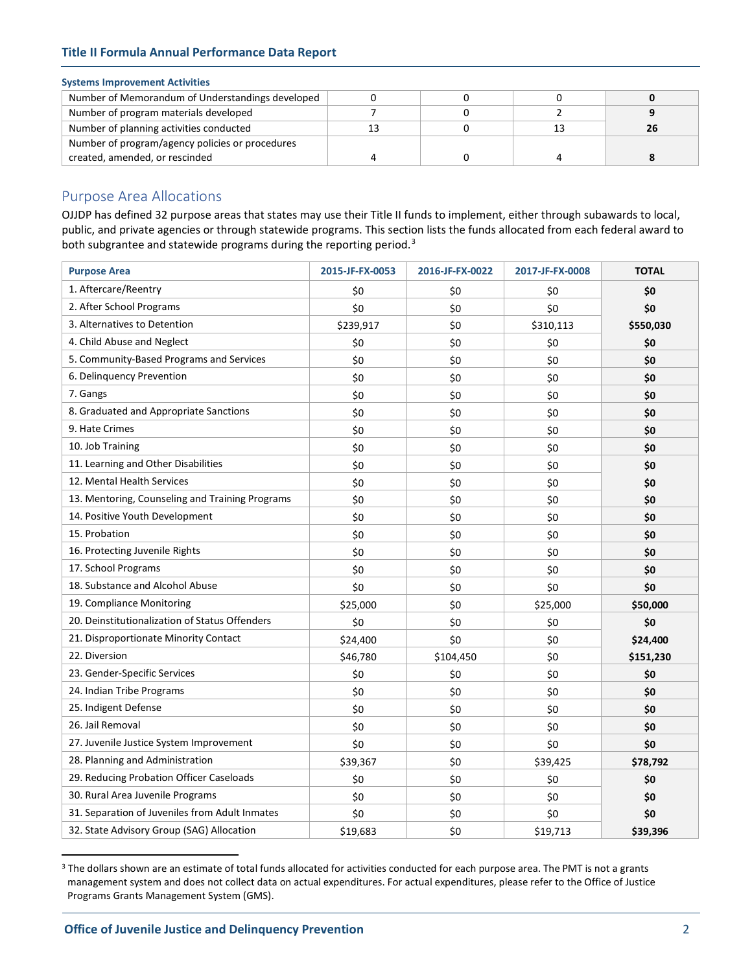## **Title II Formula Annual Performance Data Report**

## **Systems Improvement Activities**

| Number of Memorandum of Understandings developed |    |    |  |
|--------------------------------------------------|----|----|--|
| Number of program materials developed            |    |    |  |
| Number of planning activities conducted          | 13 | 13 |  |
| Number of program/agency policies or procedures  |    |    |  |
| created, amended, or rescinded                   |    |    |  |

## Purpose Area Allocations

OJJDP has defined 32 purpose areas that states may use their Title II funds to implement, either through subawards to local, public, and private agencies or through statewide programs. This section lists the funds allocated from each federal award to both subgrantee and statewide programs during the reporting period.<sup>[3](#page-1-0)</sup>

| <b>Purpose Area</b>                             | 2015-JF-FX-0053 | 2016-JF-FX-0022 | 2017-JF-FX-0008 | <b>TOTAL</b> |
|-------------------------------------------------|-----------------|-----------------|-----------------|--------------|
| 1. Aftercare/Reentry                            | \$0             | \$0             | \$0             | \$0          |
| 2. After School Programs                        | \$0             | \$0             | \$0             | \$0          |
| 3. Alternatives to Detention                    | \$239,917       | \$0             | \$310,113       | \$550,030    |
| 4. Child Abuse and Neglect                      | \$0             | \$0             | \$0             | \$0          |
| 5. Community-Based Programs and Services        | \$0             | \$0             | \$0             | \$0          |
| 6. Delinquency Prevention                       | \$0             | \$0             | \$0             | \$0          |
| 7. Gangs                                        | \$0             | \$0             | \$0             | \$0          |
| 8. Graduated and Appropriate Sanctions          | \$0             | \$0             | \$0             | \$0          |
| 9. Hate Crimes                                  | \$0             | \$0             | \$0             | \$0          |
| 10. Job Training                                | \$0             | \$0             | \$0             | \$0          |
| 11. Learning and Other Disabilities             | \$0             | \$0             | \$0             | \$0          |
| 12. Mental Health Services                      | \$0             | \$0             | \$0             | \$0          |
| 13. Mentoring, Counseling and Training Programs | \$0             | \$0             | \$0             | \$0          |
| 14. Positive Youth Development                  | \$0             | \$0             | \$0             | \$0          |
| 15. Probation                                   | \$0             | \$0             | \$0             | \$0          |
| 16. Protecting Juvenile Rights                  | \$0             | \$0             | \$0             | \$0          |
| 17. School Programs                             | \$0             | \$0             | \$0             | \$0          |
| 18. Substance and Alcohol Abuse                 | \$0             | \$0             | \$0             | \$0          |
| 19. Compliance Monitoring                       | \$25,000        | \$0             | \$25,000        | \$50,000     |
| 20. Deinstitutionalization of Status Offenders  | \$0             | \$0             | \$0             | \$0          |
| 21. Disproportionate Minority Contact           | \$24,400        | \$0             | \$0             | \$24,400     |
| 22. Diversion                                   | \$46,780        | \$104,450       | \$0             | \$151,230    |
| 23. Gender-Specific Services                    | \$0             | \$0             | \$0             | \$0          |
| 24. Indian Tribe Programs                       | \$0             | \$0             | \$0             | \$0          |
| 25. Indigent Defense                            | \$0             | \$0             | \$0             | \$0          |
| 26. Jail Removal                                | \$0             | \$0             | \$0             | \$0          |
| 27. Juvenile Justice System Improvement         | \$0             | \$0             | \$0             | \$0          |
| 28. Planning and Administration                 | \$39,367        | \$0             | \$39,425        | \$78,792     |
| 29. Reducing Probation Officer Caseloads        | \$0             | \$0             | \$0             | \$0          |
| 30. Rural Area Juvenile Programs                | \$0             | \$0             | \$0             | \$0          |
| 31. Separation of Juveniles from Adult Inmates  | \$0             | \$0             | \$0             | \$0          |
| 32. State Advisory Group (SAG) Allocation       | \$19,683        | \$0             | \$19,713        | \$39,396     |

<span id="page-1-0"></span><sup>&</sup>lt;sup>3</sup> The dollars shown are an estimate of total funds allocated for activities conducted for each purpose area. The PMT is not a grants management system and does not collect data on actual expenditures. For actual expenditures, please refer to the Office of Justice Programs Grants Management System (GMS).

 $\overline{a}$